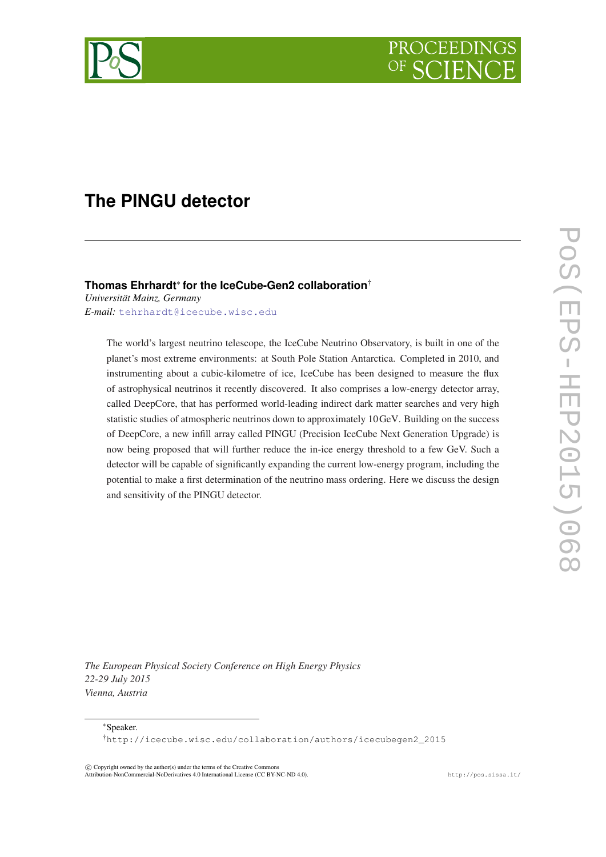

# **The PINGU detector**

# **Thomas Ehrhardt**<sup>∗</sup> **for the IceCube-Gen2 collaboration**†

*Universität Mainz, Germany E-mail:* [tehrhardt@icecube.wisc.edu](mailto:tehrhardt@icecube.wisc.edu)

> The world's largest neutrino telescope, the IceCube Neutrino Observatory, is built in one of the planet's most extreme environments: at South Pole Station Antarctica. Completed in 2010, and instrumenting about a cubic-kilometre of ice, IceCube has been designed to measure the flux of astrophysical neutrinos it recently discovered. It also comprises a low-energy detector array, called DeepCore, that has performed world-leading indirect dark matter searches and very high statistic studies of atmospheric neutrinos down to approximately 10GeV. Building on the success of DeepCore, a new infill array called PINGU (Precision IceCube Next Generation Upgrade) is now being proposed that will further reduce the in-ice energy threshold to a few GeV. Such a detector will be capable of significantly expanding the current low-energy program, including the potential to make a first determination of the neutrino mass ordering. Here we discuss the design and sensitivity of the PINGU detector.

*The European Physical Society Conference on High Energy Physics 22-29 July 2015 Vienna, Austria*

<sup>∗</sup>Speaker.

†http://icecube.wisc.edu/collaboration/authors/icecubegen2\_2015

 $\overline{c}$  Copyright owned by the author(s) under the terms of the Creative Commons Attribution-NonCommercial-NoDerivatives 4.0 International License (CC BY-NC-ND 4.0). http://pos.sissa.it/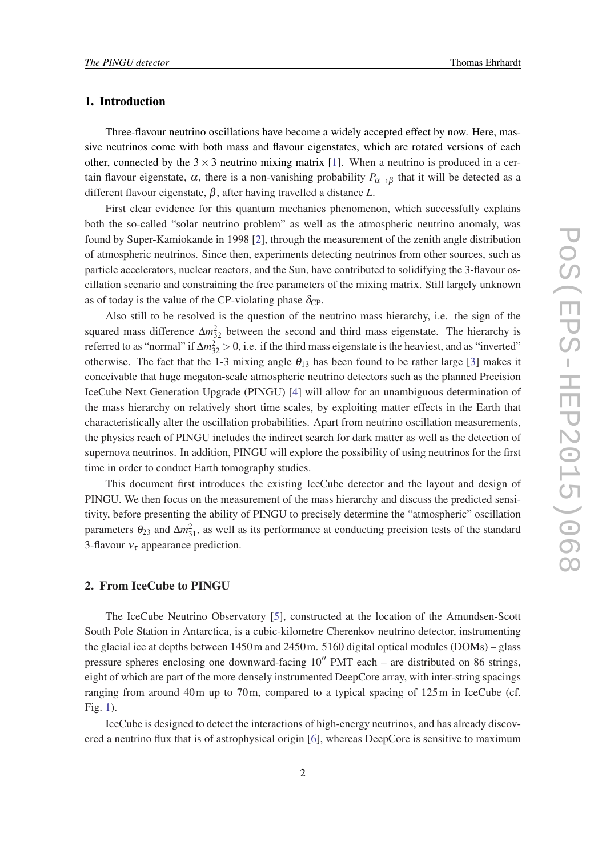# 1. Introduction

Three-flavour neutrino oscillations have become a widely accepted effect by now. Here, massive neutrinos come with both mass and flavour eigenstates, which are rotated versions of each other, connected by the  $3 \times 3$  neutrino mixing matrix [[1](#page-5-0)]. When a neutrino is produced in a certain flavour eigenstate,  $\alpha$ , there is a non-vanishing probability  $P_{\alpha \to \beta}$  that it will be detected as a different flavour eigenstate, β, after having travelled a distance *L*.

First clear evidence for this quantum mechanics phenomenon, which successfully explains both the so-called "solar neutrino problem" as well as the atmospheric neutrino anomaly, was found by Super-Kamiokande in 1998 [\[2\]](#page-5-0), through the measurement of the zenith angle distribution of atmospheric neutrinos. Since then, experiments detecting neutrinos from other sources, such as particle accelerators, nuclear reactors, and the Sun, have contributed to solidifying the 3-flavour oscillation scenario and constraining the free parameters of the mixing matrix. Still largely unknown as of today is the value of the CP-violating phase  $\delta_{\rm CP}$ .

Also still to be resolved is the question of the neutrino mass hierarchy, i.e. the sign of the squared mass difference  $\Delta m_{32}^2$  between the second and third mass eigenstate. The hierarchy is referred to as "normal" if  $\Delta m_{32}^2 > 0$ , i.e. if the third mass eigenstate is the heaviest, and as "inverted" otherwise. The fact that the 1-3 mixing angle  $\theta_{13}$  has been found to be rather large [\[3\]](#page-6-0) makes it conceivable that huge megaton-scale atmospheric neutrino detectors such as the planned Precision IceCube Next Generation Upgrade (PINGU) [\[4\]](#page-6-0) will allow for an unambiguous determination of the mass hierarchy on relatively short time scales, by exploiting matter effects in the Earth that characteristically alter the oscillation probabilities. Apart from neutrino oscillation measurements, the physics reach of PINGU includes the indirect search for dark matter as well as the detection of supernova neutrinos. In addition, PINGU will explore the possibility of using neutrinos for the first time in order to conduct Earth tomography studies.

This document first introduces the existing IceCube detector and the layout and design of PINGU. We then focus on the measurement of the mass hierarchy and discuss the predicted sensitivity, before presenting the ability of PINGU to precisely determine the "atmospheric" oscillation parameters  $\theta_{23}$  and  $\Delta m_{31}^2$ , as well as its performance at conducting precision tests of the standard 3-flavour  $v_{\tau}$  appearance prediction.

# 2. From IceCube to PINGU

The IceCube Neutrino Observatory [\[5\]](#page-6-0), constructed at the location of the Amundsen-Scott South Pole Station in Antarctica, is a cubic-kilometre Cherenkov neutrino detector, instrumenting the glacial ice at depths between 1450m and 2450m. 5160 digital optical modules (DOMs) – glass pressure spheres enclosing one downward-facing  $10''$  PMT each – are distributed on 86 strings, eight of which are part of the more densely instrumented DeepCore array, with inter-string spacings ranging from around 40m up to 70m, compared to a typical spacing of 125m in IceCube (cf. Fig. [1\)](#page-2-0).

IceCube is designed to detect the interactions of high-energy neutrinos, and has already discovered a neutrino flux that is of astrophysical origin [[6\]](#page-6-0), whereas DeepCore is sensitive to maximum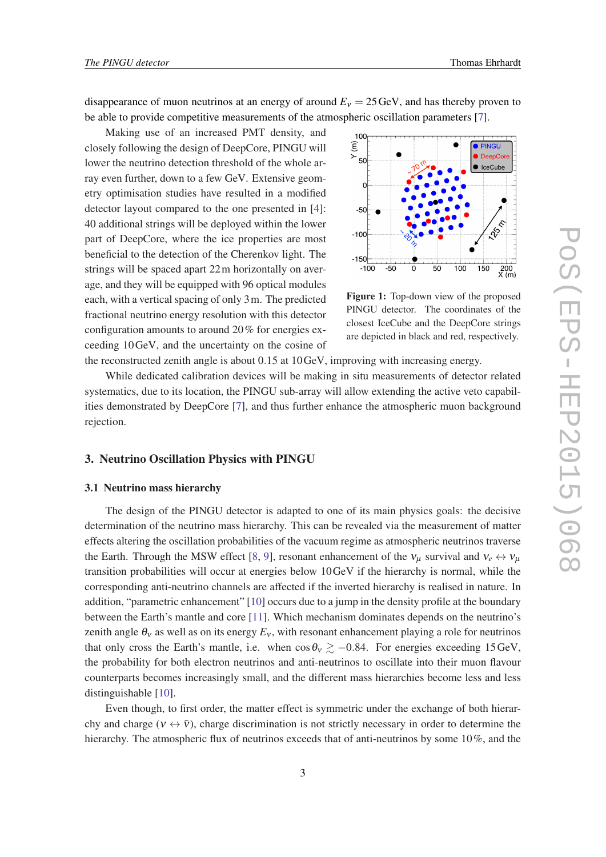<span id="page-2-0"></span>disappearance of muon neutrinos at an energy of around  $E<sub>v</sub> = 25 \text{ GeV}$ , and has thereby proven to be able to provide competitive measurements of the atmospheric oscillation parameters [[7](#page-6-0)].

Making use of an increased PMT density, and closely following the design of DeepCore, PINGU will lower the neutrino detection threshold of the whole array even further, down to a few GeV. Extensive geometry optimisation studies have resulted in a modified detector layout compared to the one presented in [\[4\]](#page-6-0): 40 additional strings will be deployed within the lower part of DeepCore, where the ice properties are most beneficial to the detection of the Cherenkov light. The strings will be spaced apart 22m horizontally on average, and they will be equipped with 96 optical modules each, with a vertical spacing of only 3m. The predicted fractional neutrino energy resolution with this detector configuration amounts to around 20% for energies exceeding 10GeV, and the uncertainty on the cosine of



Figure 1: Top-down view of the proposed PINGU detector. The coordinates of the closest IceCube and the DeepCore strings are depicted in black and red, respectively.

the reconstructed zenith angle is about 0.15 at 10GeV, improving with increasing energy.

While dedicated calibration devices will be making in situ measurements of detector related systematics, due to its location, the PINGU sub-array will allow extending the active veto capabilities demonstrated by DeepCore [[7](#page-6-0)], and thus further enhance the atmospheric muon background rejection.

### 3. Neutrino Oscillation Physics with PINGU

# 3.1 Neutrino mass hierarchy

The design of the PINGU detector is adapted to one of its main physics goals: the decisive determination of the neutrino mass hierarchy. This can be revealed via the measurement of matter effects altering the oscillation probabilities of the vacuum regime as atmospheric neutrinos traverse the Earth. Through the MSW effect [[8](#page-6-0), [9\]](#page-6-0), resonant enhancement of the  $v_\mu$  survival and  $v_e \leftrightarrow v_\mu$ transition probabilities will occur at energies below 10GeV if the hierarchy is normal, while the corresponding anti-neutrino channels are affected if the inverted hierarchy is realised in nature. In addition, "parametric enhancement" [\[10](#page-6-0)] occurs due to a jump in the density profile at the boundary between the Earth's mantle and core [[11\]](#page-6-0). Which mechanism dominates depends on the neutrino's zenith angle  $\theta_v$  as well as on its energy  $E_v$ , with resonant enhancement playing a role for neutrinos that only cross the Earth's mantle, i.e. when cos  $\theta_v \gtrsim -0.84$ . For energies exceeding 15GeV, the probability for both electron neutrinos and anti-neutrinos to oscillate into their muon flavour counterparts becomes increasingly small, and the different mass hierarchies become less and less distinguishable [[10\]](#page-6-0).

Even though, to first order, the matter effect is symmetric under the exchange of both hierarchy and charge ( $v \leftrightarrow \bar{v}$ ), charge discrimination is not strictly necessary in order to determine the hierarchy. The atmospheric flux of neutrinos exceeds that of anti-neutrinos by some 10%, and the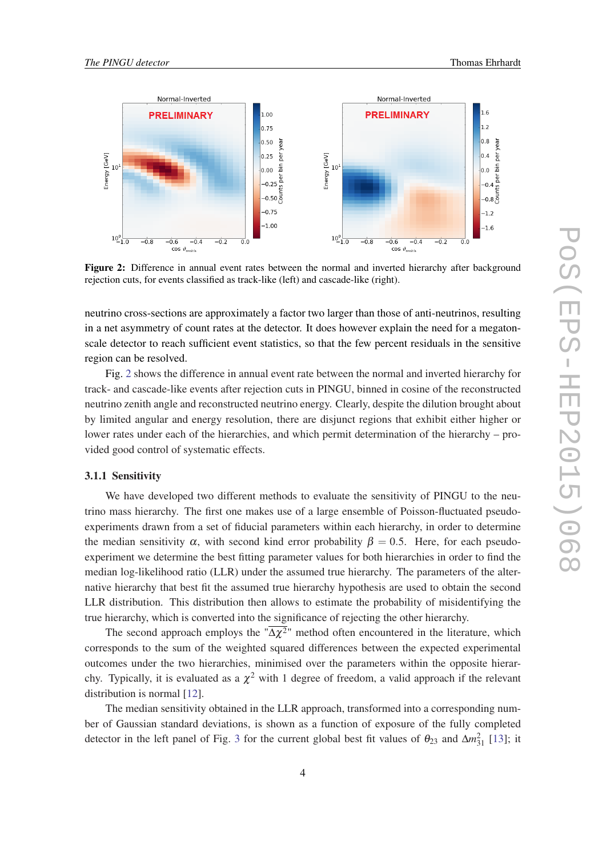

Figure 2: Difference in annual event rates between the normal and inverted hierarchy after background rejection cuts, for events classified as track-like (left) and cascade-like (right).

neutrino cross-sections are approximately a factor two larger than those of anti-neutrinos, resulting in a net asymmetry of count rates at the detector. It does however explain the need for a megatonscale detector to reach sufficient event statistics, so that the few percent residuals in the sensitive region can be resolved.

Fig. 2 shows the difference in annual event rate between the normal and inverted hierarchy for track- and cascade-like events after rejection cuts in PINGU, binned in cosine of the reconstructed neutrino zenith angle and reconstructed neutrino energy. Clearly, despite the dilution brought about by limited angular and energy resolution, there are disjunct regions that exhibit either higher or lower rates under each of the hierarchies, and which permit determination of the hierarchy – provided good control of systematic effects.

### 3.1.1 Sensitivity

We have developed two different methods to evaluate the sensitivity of PINGU to the neutrino mass hierarchy. The first one makes use of a large ensemble of Poisson-fluctuated pseudoexperiments drawn from a set of fiducial parameters within each hierarchy, in order to determine the median sensitivity  $\alpha$ , with second kind error probability  $\beta = 0.5$ . Here, for each pseudoexperiment we determine the best fitting parameter values for both hierarchies in order to find the median log-likelihood ratio (LLR) under the assumed true hierarchy. The parameters of the alternative hierarchy that best fit the assumed true hierarchy hypothesis are used to obtain the second LLR distribution. This distribution then allows to estimate the probability of misidentifying the true hierarchy, which is converted into the significance of rejecting the other hierarchy.

The second approach employs the " $\Delta \chi^2$ " method often encountered in the literature, which corresponds to the sum of the weighted squared differences between the expected experimental outcomes under the two hierarchies, minimised over the parameters within the opposite hierarchy. Typically, it is evaluated as a  $\chi^2$  with 1 degree of freedom, a valid approach if the relevant distribution is normal [\[12](#page-6-0)].

The median sensitivity obtained in the LLR approach, transformed into a corresponding number of Gaussian standard deviations, is shown as a function of exposure of the fully completed detector in the left panel of Fig. [3](#page-4-0) for the current global best fit values of  $\theta_{23}$  and  $\Delta m_{31}^2$  [\[13](#page-6-0)]; it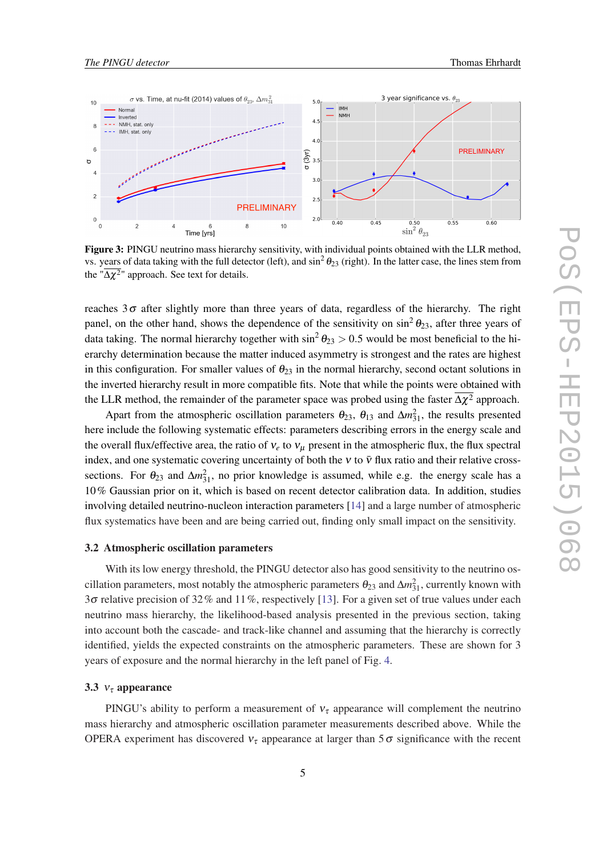<span id="page-4-0"></span>

Figure 3: PINGU neutrino mass hierarchy sensitivity, with individual points obtained with the LLR method, vs. years of data taking with the full detector (left), and  $\sin^2\theta_{23}$  (right). In the latter case, the lines stem from the " $\Delta \chi^2$ " approach. See text for details.

reaches  $3\sigma$  after slightly more than three years of data, regardless of the hierarchy. The right panel, on the other hand, shows the dependence of the sensitivity on  $\sin^2 \theta_{23}$ , after three years of data taking. The normal hierarchy together with  $\sin^2 \theta_{23} > 0.5$  would be most beneficial to the hierarchy determination because the matter induced asymmetry is strongest and the rates are highest in this configuration. For smaller values of  $\theta_{23}$  in the normal hierarchy, second octant solutions in the inverted hierarchy result in more compatible fits. Note that while the points were obtained with the LLR method, the remainder of the parameter space was probed using the faster  $\Delta \chi^2$  approach.

Apart from the atmospheric oscillation parameters  $\theta_{23}$ ,  $\theta_{13}$  and  $\Delta m_{31}^2$ , the results presented here include the following systematic effects: parameters describing errors in the energy scale and the overall flux/effective area, the ratio of  $v_e$  to  $v_u$  present in the atmospheric flux, the flux spectral index, and one systematic covering uncertainty of both the  $v$  to  $\bar{v}$  flux ratio and their relative crosssections. For  $\theta_{23}$  and  $\Delta m_{31}^2$ , no prior knowledge is assumed, while e.g. the energy scale has a 10% Gaussian prior on it, which is based on recent detector calibration data. In addition, studies involving detailed neutrino-nucleon interaction parameters [\[14](#page-6-0)] and a large number of atmospheric flux systematics have been and are being carried out, finding only small impact on the sensitivity.

#### 3.2 Atmospheric oscillation parameters

With its low energy threshold, the PINGU detector also has good sensitivity to the neutrino oscillation parameters, most notably the atmospheric parameters  $\theta_{23}$  and  $\Delta m_{31}^2$ , currently known with 3 $\sigma$  relative precision of 32% and 11%, respectively [[13\]](#page-6-0). For a given set of true values under each neutrino mass hierarchy, the likelihood-based analysis presented in the previous section, taking into account both the cascade- and track-like channel and assuming that the hierarchy is correctly identified, yields the expected constraints on the atmospheric parameters. These are shown for 3 years of exposure and the normal hierarchy in the left panel of Fig. [4](#page-5-0).

#### 3.3  $v_{\tau}$  appearance

PINGU's ability to perform a measurement of  $v<sub>\tau</sub>$  appearance will complement the neutrino mass hierarchy and atmospheric oscillation parameter measurements described above. While the OPERA experiment has discovered  $v_{\tau}$  appearance at larger than 5  $\sigma$  significance with the recent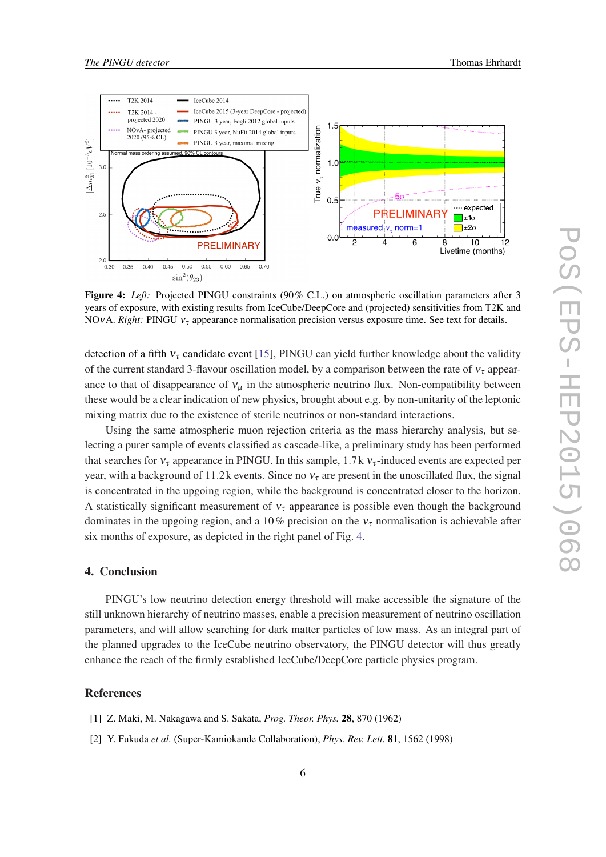<span id="page-5-0"></span>

Figure 4: *Left:* Projected PINGU constraints (90% C.L.) on atmospheric oscillation parameters after 3 years of exposure, with existing results from IceCube/DeepCore and (projected) sensitivities from T2K and NOvA. *Right:* PINGU  $v<sub>r</sub>$  appearance normalisation precision versus exposure time. See text for details.

detection of a fifth  $v<sub>\tau</sub>$  candidate event [\[15\]](#page-6-0), PINGU can yield further knowledge about the validity of the current standard 3-flavour oscillation model, by a comparison between the rate of  $v_{\tau}$  appearance to that of disappearance of  $v_{\mu}$  in the atmospheric neutrino flux. Non-compatibility between these would be a clear indication of new physics, brought about e.g. by non-unitarity of the leptonic mixing matrix due to the existence of sterile neutrinos or non-standard interactions.

Using the same atmospheric muon rejection criteria as the mass hierarchy analysis, but selecting a purer sample of events classified as cascade-like, a preliminary study has been performed that searches for  $v_{\tau}$  appearance in PINGU. In this sample, 1.7 k  $v_{\tau}$ -induced events are expected per year, with a background of 11.2 k events. Since no  $v<sub>\tau</sub>$  are present in the unoscillated flux, the signal is concentrated in the upgoing region, while the background is concentrated closer to the horizon. A statistically significant measurement of  $v<sub>\tau</sub>$  appearance is possible even though the background dominates in the upgoing region, and a 10% precision on the  $v<sub>\tau</sub>$  normalisation is achievable after six months of exposure, as depicted in the right panel of Fig. 4.

# 4. Conclusion

PINGU's low neutrino detection energy threshold will make accessible the signature of the still unknown hierarchy of neutrino masses, enable a precision measurement of neutrino oscillation parameters, and will allow searching for dark matter particles of low mass. As an integral part of the planned upgrades to the IceCube neutrino observatory, the PINGU detector will thus greatly enhance the reach of the firmly established IceCube/DeepCore particle physics program.

#### References

- [1] Z. Maki, M. Nakagawa and S. Sakata, *Prog. Theor. Phys.* 28, 870 (1962)
- [2] Y. Fukuda *et al.* (Super-Kamiokande Collaboration), *Phys. Rev. Lett.* 81, 1562 (1998)